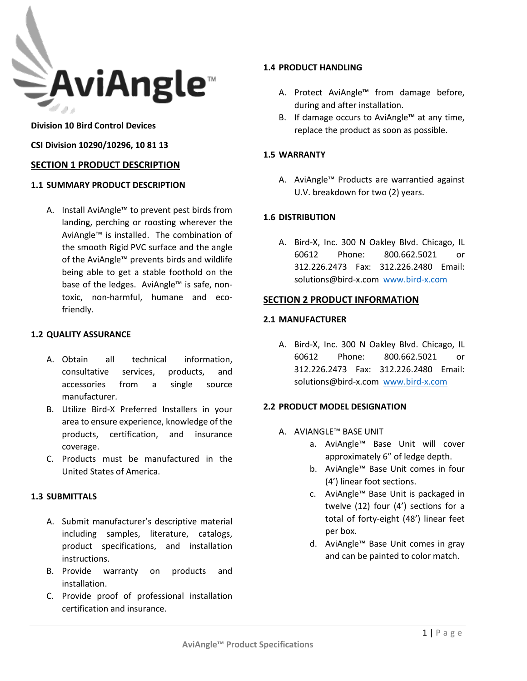

## **Division 10 Bird Control Devices**

### **CSI Division 10290/10296, 10 81 13**

# **SECTION 1 PRODUCT DESCRIPTION**

#### **1.1 SUMMARY PRODUCT DESCRIPTION**

A. Install AviAngle™ to prevent pest birds from landing, perching or roosting wherever the AviAngle™ is installed. The combination of the smooth Rigid PVC surface and the angle of the AviAngle™ prevents birds and wildlife being able to get a stable foothold on the base of the ledges. AviAngle™ is safe, nontoxic, non-harmful, humane and ecofriendly.

#### **1.2 QUALITY ASSURANCE**

- A. Obtain all technical information, consultative services, products, and accessories from a single source manufacturer.
- B. Utilize Bird-X Preferred Installers in your area to ensure experience, knowledge of the products, certification, and insurance coverage.
- C. Products must be manufactured in the United States of America.

### **1.3 SUBMITTALS**

- A. Submit manufacturer's descriptive material including samples, literature, catalogs, product specifications, and installation instructions.
- B. Provide warranty on products and installation.
- C. Provide proof of professional installation certification and insurance.

# **1.4 PRODUCT HANDLING**

- A. Protect AviAngle™ from damage before, during and after installation.
- B. If damage occurs to AviAngle™ at any time, replace the product as soon as possible.

### **1.5 WARRANTY**

A. AviAngle™ Products are warrantied against U.V. breakdown for two (2) years.

# **1.6 DISTRIBUTION**

A. Bird-X, Inc. 300 N Oakley Blvd. Chicago, IL 60612 Phone: 800.662.5021 or 312.226.2473 Fax: 312.226.2480 Email: solutions@bird-x.com [www.bird-x.com](http://www.bird-x.com/)

#### **SECTION 2 PRODUCT INFORMATION**

#### **2.1 MANUFACTURER**

A. Bird-X, Inc. 300 N Oakley Blvd. Chicago, IL 60612 Phone: 800.662.5021 or 312.226.2473 Fax: 312.226.2480 Email: solutions@bird-x.com [www.bird-x.com](http://www.bird-x.com/)

#### **2.2 PRODUCT MODEL DESIGNATION**

- A. AVIANGLE™ BASE UNIT
	- a. AviAngle™ Base Unit will cover approximately 6" of ledge depth.
	- b. AviAngle™ Base Unit comes in four (4') linear foot sections.
	- c. AviAngle™ Base Unit is packaged in twelve (12) four (4') sections for a total of forty-eight (48') linear feet per box.
	- d. AviAngle™ Base Unit comes in gray and can be painted to color match.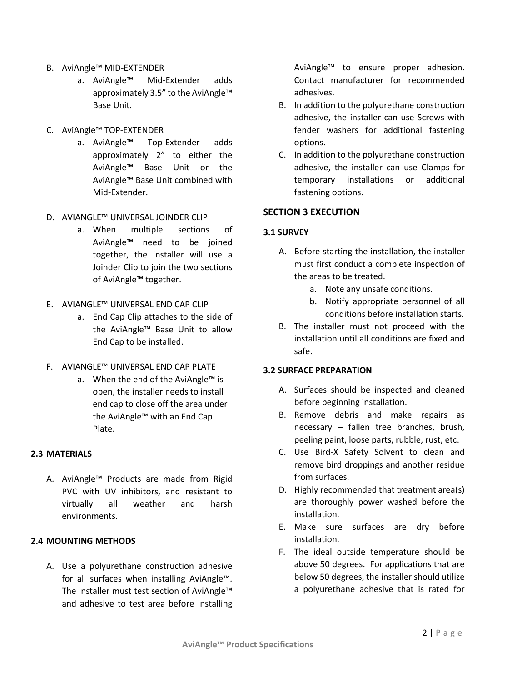- B. AviAngle™ MID-EXTENDER
	- a. AviAngle™ Mid-Extender adds approximately 3.5" to the AviAngle™ Base Unit.
- C. AviAngle™ TOP-EXTENDER
	- a. AviAngle™ Top-Extender adds approximately 2" to either the AviAngle™ Base Unit or the AviAngle™ Base Unit combined with Mid-Extender.

## D. AVIANGLE™ UNIVERSAL JOINDER CLIP

- a. When multiple sections of AviAngle™ need to be joined together, the installer will use a Joinder Clip to join the two sections of AviAngle™ together.
- E. AVIANGLE™ UNIVERSAL END CAP CLIP
	- a. End Cap Clip attaches to the side of the AviAngle™ Base Unit to allow End Cap to be installed.
- F. AVIANGLE™ UNIVERSAL END CAP PLATE
	- a. When the end of the AviAngle™ is open, the installer needs to install end cap to close off the area under the AviAngle™ with an End Cap Plate.

# **2.3 MATERIALS**

A. AviAngle™ Products are made from Rigid PVC with UV inhibitors, and resistant to virtually all weather and harsh environments.

# **2.4 MOUNTING METHODS**

A. Use a polyurethane construction adhesive for all surfaces when installing AviAngle™. The installer must test section of AviAngle™ and adhesive to test area before installing AviAngle™ to ensure proper adhesion. Contact manufacturer for recommended adhesives.

- B. In addition to the polyurethane construction adhesive, the installer can use Screws with fender washers for additional fastening options.
- C. In addition to the polyurethane construction adhesive, the installer can use Clamps for temporary installations or additional fastening options.

# **SECTION 3 EXECUTION**

## **3.1 SURVEY**

- A. Before starting the installation, the installer must first conduct a complete inspection of the areas to be treated.
	- a. Note any unsafe conditions.
	- b. Notify appropriate personnel of all conditions before installation starts.
- B. The installer must not proceed with the installation until all conditions are fixed and safe.

#### **3.2 SURFACE PREPARATION**

- A. Surfaces should be inspected and cleaned before beginning installation.
- B. Remove debris and make repairs as necessary – fallen tree branches, brush, peeling paint, loose parts, rubble, rust, etc.
- C. Use Bird-X Safety Solvent to clean and remove bird droppings and another residue from surfaces.
- D. Highly recommended that treatment area(s) are thoroughly power washed before the installation.
- E. Make sure surfaces are dry before installation.
- F. The ideal outside temperature should be above 50 degrees. For applications that are below 50 degrees, the installer should utilize a polyurethane adhesive that is rated for